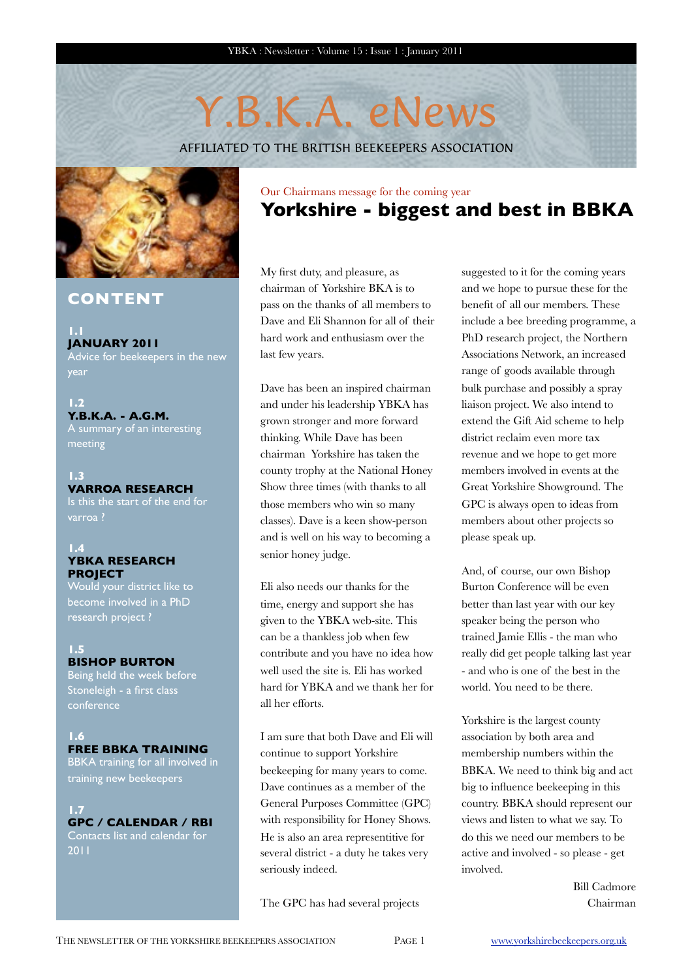# Y.B.K.A. eNews

AFFILIATED TO THE BRITISH BEEKEEPERS ASSOCIATION



#### **CONTENT**

#### **1.1 JANUARY 2011**

Advice for beekeepers in the new year

**1.2 Y.B.K.A. - A.G.M.** A summary of an interesting

meeting

#### **1.3 VARROA RESEARCH** Is this the start of the end for

varroa ?

#### **1.4 YBKA RESEARCH PROJECT**

Would your district like to become involved in a PhD research project ?

#### **1.5 BISHOP BURTON**

Being held the week before Stoneleigh - a first class

**1.6 FREE BBKA TRAINING** BBKA training for all involved in

training new beekeepers

**1.7 GPC / CALENDAR / RBI** Contacts list and calendar for 2011

#### Our Chairmans message for the coming year **Yorkshire - biggest and best in BBKA**

My first duty, and pleasure, as chairman of Yorkshire BKA is to pass on the thanks of all members to Dave and Eli Shannon for all of their hard work and enthusiasm over the last few years.

Dave has been an inspired chairman and under his leadership YBKA has grown stronger and more forward thinking. While Dave has been chairman Yorkshire has taken the county trophy at the National Honey Show three times (with thanks to all those members who win so many classes). Dave is a keen show-person and is well on his way to becoming a senior honey judge.

Eli also needs our thanks for the time, energy and support she has given to the YBKA web-site. This can be a thankless job when few contribute and you have no idea how well used the site is. Eli has worked hard for YBKA and we thank her for all her efforts.

I am sure that both Dave and Eli will continue to support Yorkshire beekeeping for many years to come. Dave continues as a member of the General Purposes Committee (GPC) with responsibility for Honey Shows. He is also an area representitive for several district - a duty he takes very seriously indeed.

The GPC has had several projects

suggested to it for the coming years and we hope to pursue these for the benefit of all our members. These include a bee breeding programme, a PhD research project, the Northern Associations Network, an increased range of goods available through bulk purchase and possibly a spray liaison project. We also intend to extend the Gift Aid scheme to help district reclaim even more tax revenue and we hope to get more members involved in events at the Great Yorkshire Showground. The GPC is always open to ideas from members about other projects so please speak up.

And, of course, our own Bishop Burton Conference will be even better than last year with our key speaker being the person who trained Jamie Ellis - the man who really did get people talking last year - and who is one of the best in the world. You need to be there.

Yorkshire is the largest county association by both area and membership numbers within the BBKA. We need to think big and act big to influence beekeeping in this country. BBKA should represent our views and listen to what we say. To do this we need our members to be active and involved - so please - get involved.

> Bill Cadmore Chairman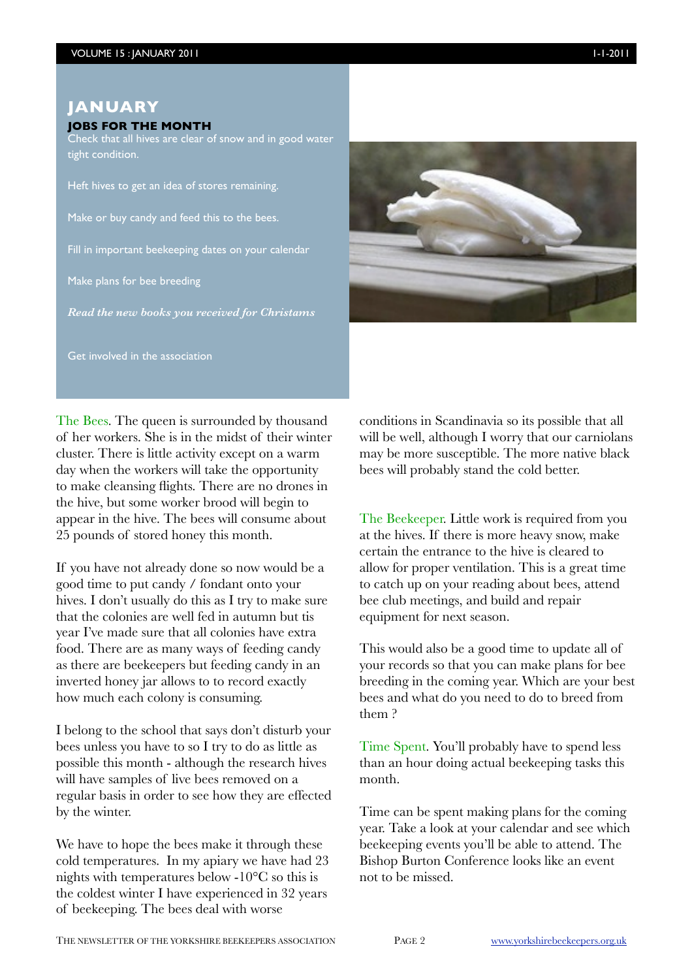#### **JANUARY**

#### **JOBS FOR THE MONTH**

Check that all hives are clear of snow and in good water tight condition.

Heft hives to get an idea of stores remaining.

Make or buy candy and feed this to the bees.

Fill in important beekeeping dates on your calendar

Make plans for bee breeding

*Read the new books you received for Christams*

Get involved in the association



The Bees. The queen is surrounded by thousand of her workers. She is in the midst of their winter cluster. There is little activity except on a warm day when the workers will take the opportunity to make cleansing flights. There are no drones in the hive, but some worker brood will begin to appear in the hive. The bees will consume about 25 pounds of stored honey this month.

If you have not already done so now would be a good time to put candy / fondant onto your hives. I don't usually do this as I try to make sure that the colonies are well fed in autumn but tis year I've made sure that all colonies have extra food. There are as many ways of feeding candy as there are beekeepers but feeding candy in an inverted honey jar allows to to record exactly how much each colony is consuming.

I belong to the school that says don't disturb your bees unless you have to so I try to do as little as possible this month - although the research hives will have samples of live bees removed on a regular basis in order to see how they are effected by the winter.

We have to hope the bees make it through these cold temperatures. In my apiary we have had 23 nights with temperatures below -10°C so this is the coldest winter I have experienced in 32 years of beekeeping. The bees deal with worse

conditions in Scandinavia so its possible that all will be well, although I worry that our carniolans may be more susceptible. The more native black bees will probably stand the cold better.

The Beekeeper. Little work is required from you at the hives. If there is more heavy snow, make certain the entrance to the hive is cleared to allow for proper ventilation. This is a great time to catch up on your reading about bees, attend bee club meetings, and build and repair equipment for next season.

This would also be a good time to update all of your records so that you can make plans for bee breeding in the coming year. Which are your best bees and what do you need to do to breed from them ?

Time Spent. You'll probably have to spend less than an hour doing actual beekeeping tasks this month.

Time can be spent making plans for the coming year. Take a look at your calendar and see which beekeeping events you'll be able to attend. The Bishop Burton Conference looks like an event not to be missed.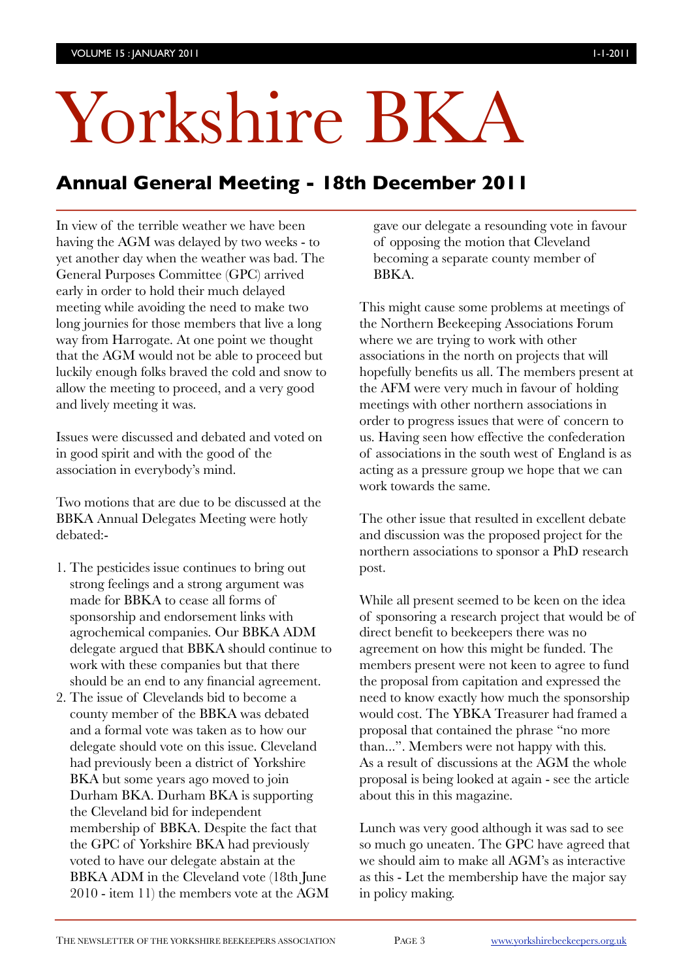# Yorkshire BKA

## **Annual General Meeting - 18th December 2011**

In view of the terrible weather we have been having the AGM was delayed by two weeks - to yet another day when the weather was bad. The General Purposes Committee (GPC) arrived early in order to hold their much delayed meeting while avoiding the need to make two long journies for those members that live a long way from Harrogate. At one point we thought that the AGM would not be able to proceed but luckily enough folks braved the cold and snow to allow the meeting to proceed, and a very good and lively meeting it was.

Issues were discussed and debated and voted on in good spirit and with the good of the association in everybody's mind.

Two motions that are due to be discussed at the BBKA Annual Delegates Meeting were hotly debated:-

- 1. The pesticides issue continues to bring out strong feelings and a strong argument was made for BBKA to cease all forms of sponsorship and endorsement links with agrochemical companies. Our BBKA ADM delegate argued that BBKA should continue to work with these companies but that there should be an end to any financial agreement.
- 2. The issue of Clevelands bid to become a county member of the BBKA was debated and a formal vote was taken as to how our delegate should vote on this issue. Cleveland had previously been a district of Yorkshire BKA but some years ago moved to join Durham BKA. Durham BKA is supporting the Cleveland bid for independent membership of BBKA. Despite the fact that the GPC of Yorkshire BKA had previously voted to have our delegate abstain at the BBKA ADM in the Cleveland vote (18th June 2010 - item 11) the members vote at the AGM

gave our delegate a resounding vote in favour of opposing the motion that Cleveland becoming a separate county member of BBKA.

This might cause some problems at meetings of the Northern Beekeeping Associations Forum where we are trying to work with other associations in the north on projects that will hopefully benefits us all. The members present at the AFM were very much in favour of holding meetings with other northern associations in order to progress issues that were of concern to us. Having seen how effective the confederation of associations in the south west of England is as acting as a pressure group we hope that we can work towards the same.

The other issue that resulted in excellent debate and discussion was the proposed project for the northern associations to sponsor a PhD research post.

While all present seemed to be keen on the idea of sponsoring a research project that would be of direct benefit to beekeepers there was no agreement on how this might be funded. The members present were not keen to agree to fund the proposal from capitation and expressed the need to know exactly how much the sponsorship would cost. The YBKA Treasurer had framed a proposal that contained the phrase "no more than...". Members were not happy with this. As a result of discussions at the AGM the whole proposal is being looked at again - see the article about this in this magazine.

Lunch was very good although it was sad to see so much go uneaten. The GPC have agreed that we should aim to make all AGM's as interactive as this - Let the membership have the major say in policy making.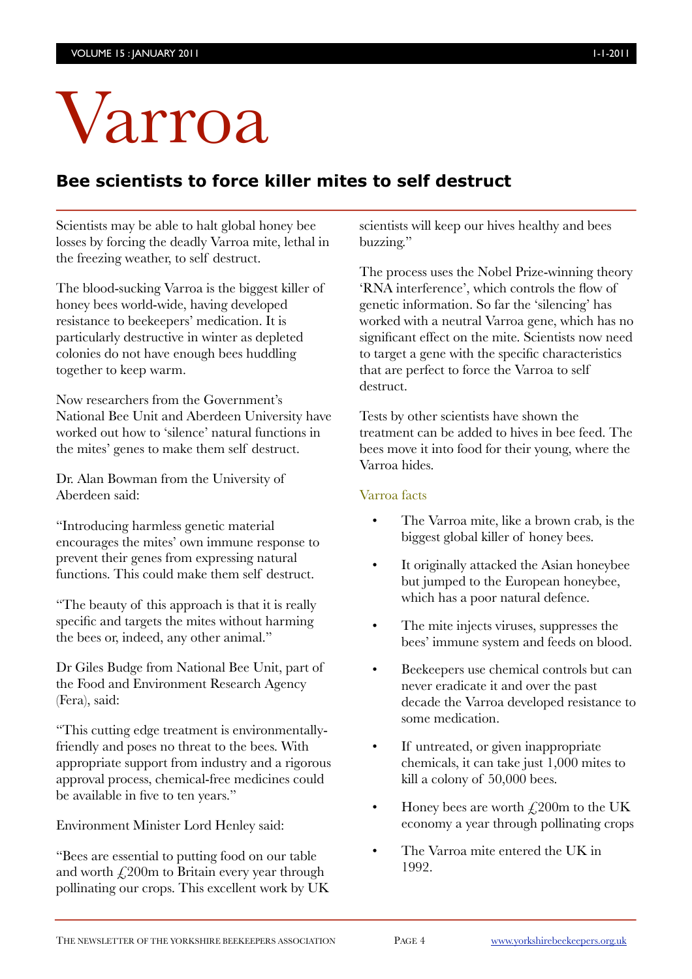# Varroa

## **Bee scientists to force killer mites to self destruct**

Scientists may be able to halt global honey bee losses by forcing the deadly Varroa mite, lethal in the freezing weather, to self destruct.

The blood-sucking Varroa is the biggest killer of honey bees world-wide, having developed resistance to beekeepers' medication. It is particularly destructive in winter as depleted colonies do not have enough bees huddling together to keep warm.

Now researchers from the Government's National Bee Unit and Aberdeen University have worked out how to 'silence' natural functions in the mites' genes to make them self destruct.

Dr. Alan Bowman from the University of Aberdeen said:

"Introducing harmless genetic material encourages the mites' own immune response to prevent their genes from expressing natural functions. This could make them self destruct.

"The beauty of this approach is that it is really specific and targets the mites without harming the bees or, indeed, any other animal."

Dr Giles Budge from National Bee Unit, part of the Food and Environment Research Agency (Fera), said:

"This cutting edge treatment is environmentallyfriendly and poses no threat to the bees. With appropriate support from industry and a rigorous approval process, chemical-free medicines could be available in five to ten years."

Environment Minister Lord Henley said:

"Bees are essential to putting food on our table and worth  $f$  200m to Britain every year through pollinating our crops. This excellent work by UK

scientists will keep our hives healthy and bees buzzing."

The process uses the Nobel Prize-winning theory 'RNA interference', which controls the flow of genetic information. So far the 'silencing' has worked with a neutral Varroa gene, which has no significant effect on the mite. Scientists now need to target a gene with the specific characteristics that are perfect to force the Varroa to self destruct.

Tests by other scientists have shown the treatment can be added to hives in bee feed. The bees move it into food for their young, where the Varroa hides.

#### Varroa facts

- The Varroa mite, like a brown crab, is the biggest global killer of honey bees.
- It originally attacked the Asian honeybee but jumped to the European honeybee, which has a poor natural defence.
- The mite injects viruses, suppresses the bees' immune system and feeds on blood.
- Beekeepers use chemical controls but can never eradicate it and over the past decade the Varroa developed resistance to some medication.
- If untreated, or given inappropriate chemicals, it can take just 1,000 mites to kill a colony of 50,000 bees.
- Honey bees are worth  $\angle 200$ m to the UK economy a year through pollinating crops
- The Varroa mite entered the UK in 1992.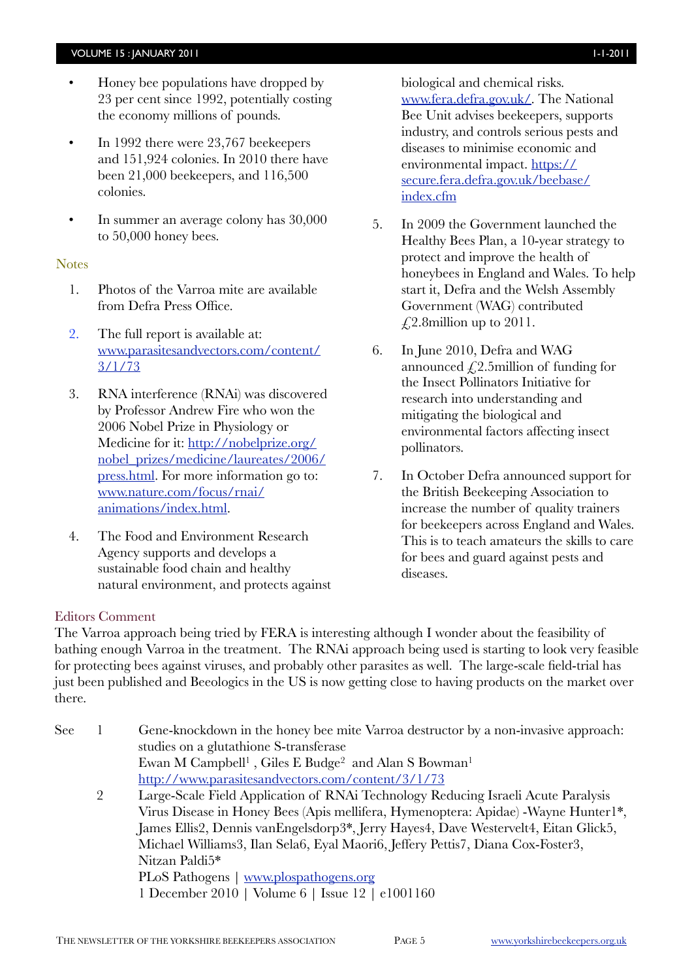#### VOLUME 15 : JANUARY 2011 1-1201 1 2012 12:00 12:00 12:00 12:00 12:00 12:00 12:00 12:00 12:00 12:00 12:00 12:00 12:00 12:00 12:00 12:00 12:00 12:00 12:00 12:00 12:00 12:00 12:00 12:00 12:00 12:00 12:00 12:00 12:00 12:00 12:

- Honey bee populations have dropped by 23 per cent since 1992, potentially costing the economy millions of pounds.
- In 1992 there were 23,767 beekeepers and 151,924 colonies. In 2010 there have been 21,000 beekeepers, and 116,500 colonies.
- In summer an average colony has 30,000 to 50,000 honey bees.

#### **Notes**

- 1. Photos of the Varroa mite are available from Defra Press Office.
- 2. The full report is available at: [www.parasitesandvectors.com/content/](http://www.parasitesandvectors.com/content/3/1/73) [3/1/73](http://www.parasitesandvectors.com/content/3/1/73)
- 3. RNA interference (RNAi) was discovered by Professor Andrew Fire who won the 2006 Nobel Prize in Physiology or Medicine for it: [http://nobelprize.org/](http://nobelprize.org/nobel_prizes/medicine/laureates/2006/press.html) [nobel\\_prizes/medicine/laureates/2006/](http://nobelprize.org/nobel_prizes/medicine/laureates/2006/press.html) [press.html](http://nobelprize.org/nobel_prizes/medicine/laureates/2006/press.html). For more information go to: [www.nature.com/focus/rnai/](http://www.nature.com/focus/rnai/animations/index.html) [animations/index.html.](http://www.nature.com/focus/rnai/animations/index.html)
- 4. The Food and Environment Research Agency supports and develops a sustainable food chain and healthy natural environment, and protects against

biological and chemical risks. [www.fera.defra.gov.uk/.](http://www.fera.defra.gov.uk/) The National Bee Unit advises beekeepers, supports industry, and controls serious pests and diseases to minimise economic and environmental impact. [https://](https://secure.fera.defra.gov.uk/beebase/index.cfm) [secure.fera.defra.gov.uk/beebase/](https://secure.fera.defra.gov.uk/beebase/index.cfm) [index.cfm](https://secure.fera.defra.gov.uk/beebase/index.cfm)

- 5. In 2009 the Government launched the Healthy Bees Plan, a 10-year strategy to protect and improve the health of honeybees in England and Wales. To help start it, Defra and the Welsh Assembly Government (WAG) contributed  $\mathcal{L}$ 2.8million up to 2011.
- 6. In June 2010, Defra and WAG announced  $f$ 2.5million of funding for the Insect Pollinators Initiative for research into understanding and mitigating the biological and environmental factors affecting insect pollinators.
- 7. In October Defra announced support for the British Beekeeping Association to increase the number of quality trainers for beekeepers across England and Wales. This is to teach amateurs the skills to care for bees and guard against pests and diseases.

#### Editors Comment

The Varroa approach being tried by FERA is interesting although I wonder about the feasibility of bathing enough Varroa in the treatment. The RNAi approach being used is starting to look very feasible for protecting bees against viruses, and probably other parasites as well. The large-scale field-trial has just been published and Beeologics in the US is now getting close to having products on the market over there.

| <b>See</b> |                | Gene-knockdown in the honey bee mite Varroa destructor by a non-invasive approach:       |
|------------|----------------|------------------------------------------------------------------------------------------|
|            |                | studies on a glutathione S-transferase                                                   |
|            |                | Ewan M Campbell <sup>1</sup> , Giles E Budge <sup>2</sup> and Alan S Bowman <sup>1</sup> |
|            |                | http://www.parasitesandvectors.com/content/3/1/73                                        |
|            | $\overline{2}$ | Large-Scale Field Application of RNAi Technology Reducing Israeli Acute Paralysis        |
|            |                | Virus Disease in Honey Bees (Apis mellifera, Hymenoptera: Apidae) - Wayne Hunter 1*,     |
|            |                | James Ellis2, Dennis van Engelsdorp3*, Jerry Hayes4, Dave Westervelt4, Eitan Glick5,     |
|            |                | Michael Williams3, Ilan Sela6, Eyal Maori6, Jeffery Pettis7, Diana Cox-Foster3,          |
|            |                | Nitzan Paldi5*                                                                           |
|            |                | PLoS Pathogens   www.plospathogens.org                                                   |
|            |                | 1 December 2010   Volume 6   Issue 12   e1001160                                         |
|            |                |                                                                                          |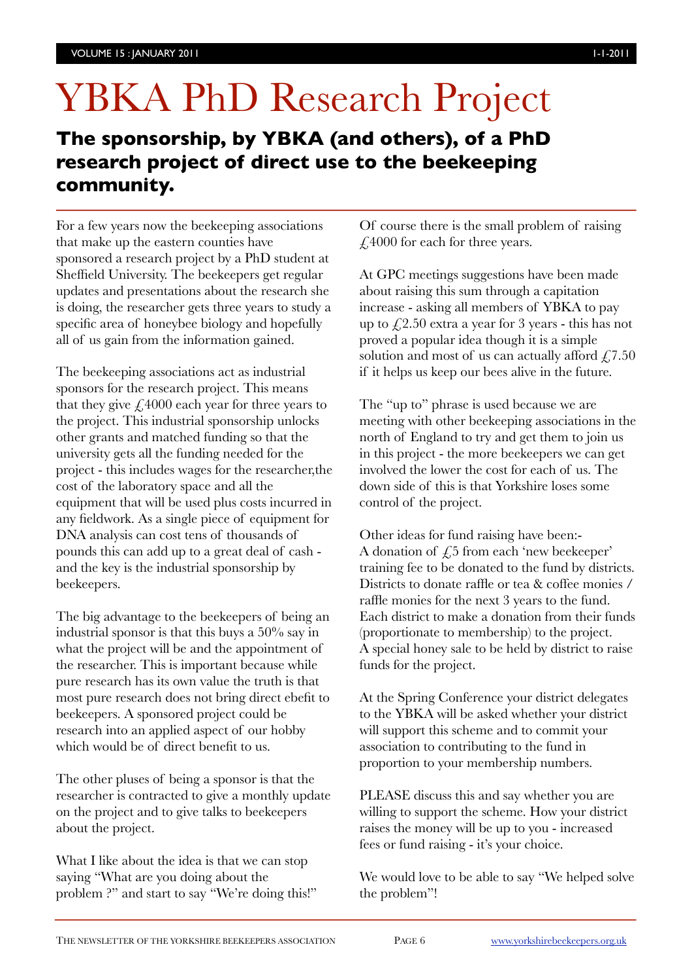# YBKA PhD Research Project

# **The sponsorship, by YBKA (and others), of a PhD research project of direct use to the beekeeping community.**

For a few years now the beekeeping associations that make up the eastern counties have sponsored a research project by a PhD student at Sheffield University. The beekeepers get regular updates and presentations about the research she is doing, the researcher gets three years to study a specific area of honeybee biology and hopefully all of us gain from the information gained.

The beekeeping associations act as industrial sponsors for the research project. This means that they give  $\epsilon$  4000 each year for three years to the project. This industrial sponsorship unlocks other grants and matched funding so that the university gets all the funding needed for the project - this includes wages for the researcher,the cost of the laboratory space and all the equipment that will be used plus costs incurred in any fieldwork. As a single piece of equipment for DNA analysis can cost tens of thousands of pounds this can add up to a great deal of cash and the key is the industrial sponsorship by beekeepers.

The big advantage to the beekeepers of being an industrial sponsor is that this buys a 50% say in what the project will be and the appointment of the researcher. This is important because while pure research has its own value the truth is that most pure research does not bring direct ebefit to beekeepers. A sponsored project could be research into an applied aspect of our hobby which would be of direct benefit to us.

The other pluses of being a sponsor is that the researcher is contracted to give a monthly update on the project and to give talks to beekeepers about the project.

What I like about the idea is that we can stop saying "What are you doing about the problem ?" and start to say "We're doing this!" Of course there is the small problem of raising £4000 for each for three years.

At GPC meetings suggestions have been made about raising this sum through a capitation increase - asking all members of YBKA to pay up to  $\mathcal{L}2.50$  extra a year for 3 years - this has not proved a popular idea though it is a simple solution and most of us can actually afford  $\text{\emph{f}}$ , 7.50 if it helps us keep our bees alive in the future.

The "up to" phrase is used because we are meeting with other beekeeping associations in the north of England to try and get them to join us in this project - the more beekeepers we can get involved the lower the cost for each of us. The down side of this is that Yorkshire loses some control of the project.

Other ideas for fund raising have been:- A donation of  $\sqrt{25}$  from each 'new beekeeper' training fee to be donated to the fund by districts. Districts to donate raffle or tea & coffee monies / raffle monies for the next 3 years to the fund. Each district to make a donation from their funds (proportionate to membership) to the project. A special honey sale to be held by district to raise funds for the project.

At the Spring Conference your district delegates to the YBKA will be asked whether your district will support this scheme and to commit your association to contributing to the fund in proportion to your membership numbers.

PLEASE discuss this and say whether you are willing to support the scheme. How your district raises the money will be up to you - increased fees or fund raising - it's your choice.

We would love to be able to say "We helped solve the problem"!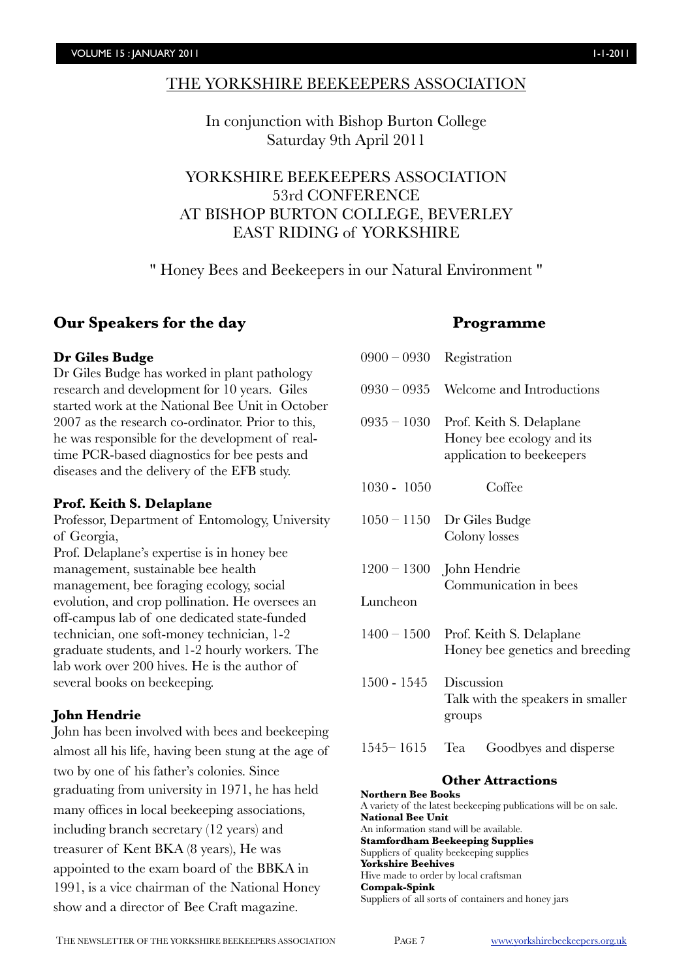#### THE YORKSHIRE BEEKEEPERS ASSOCIATION

In conjunction with Bishop Burton College Saturday 9th April 2011

YORKSHIRE BEEKEEPERS ASSOCIATION 53rd CONFERENCE AT BISHOP BURTON COLLEGE, BEVERLEY EAST RIDING of YORKSHIRE

" Honey Bees and Beekeepers in our Natural Environment "

#### **Our Speakers for the day**

#### **Dr Giles Budge**

Dr Giles Budge has worked in plant pathology research and development for 10 years. Giles started work at the National Bee Unit in October 2007 as the research co-ordinator. Prior to this, he was responsible for the development of realtime PCR-based diagnostics for bee pests and diseases and the delivery of the EFB study.

#### **Prof. Keith S. Delaplane**

Professor, Department of Entomology, University of Georgia,

Prof. Delaplane's expertise is in honey bee management, sustainable bee health management, bee foraging ecology, social evolution, and crop pollination. He oversees an off-campus lab of one dedicated state-funded technician, one soft-money technician, 1-2 graduate students, and 1-2 hourly workers. The lab work over 200 hives. He is the author of several books on beekeeping.

#### **John Hendrie**

John has been involved with bees and beekeeping almost all his life, having been stung at the age of two by one of his father's colonies. Since graduating from university in 1971, he has held many offices in local beekeeping associations, including branch secretary (12 years) and treasurer of Kent BKA (8 years), He was appointed to the exam board of the BBKA in 1991, is a vice chairman of the National Honey show and a director of Bee Craft magazine.

#### **Programme**

| $0900 - 0930$ | Registration                                                                       |  |  |
|---------------|------------------------------------------------------------------------------------|--|--|
| $0930 - 0935$ | Welcome and Introductions                                                          |  |  |
| $0935 - 1030$ | Prof. Keith S. Delaplane<br>Honey bee ecology and its<br>application to beekeepers |  |  |
| 1030 - 1050   | Coffee                                                                             |  |  |
| $1050 - 1150$ | Dr Giles Budge<br>Colony losses                                                    |  |  |
|               | $1200 - 1300$ John Hendrie<br>Communication in bees                                |  |  |
| Luncheon      |                                                                                    |  |  |
| $1400 - 1500$ | Prof. Keith S. Delaplane<br>Honey bee genetics and breeding                        |  |  |
| 1500 - 1545   | Discussion<br>Talk with the speakers in smaller<br>groups                          |  |  |
| $1545 - 1615$ | Tea<br>Goodbyes and disperse                                                       |  |  |

#### **Other Attractions**

**Northern Bee Books** A variety of the latest beekeeping publications will be on sale. **National Bee Unit**  An information stand will be available. **Stamfordham Beekeeping Supplies** Suppliers of quality beekeeping supplies **Yorkshire Beehives** Hive made to order by local craftsman **Compak-Spink** Suppliers of all sorts of containers and honey jars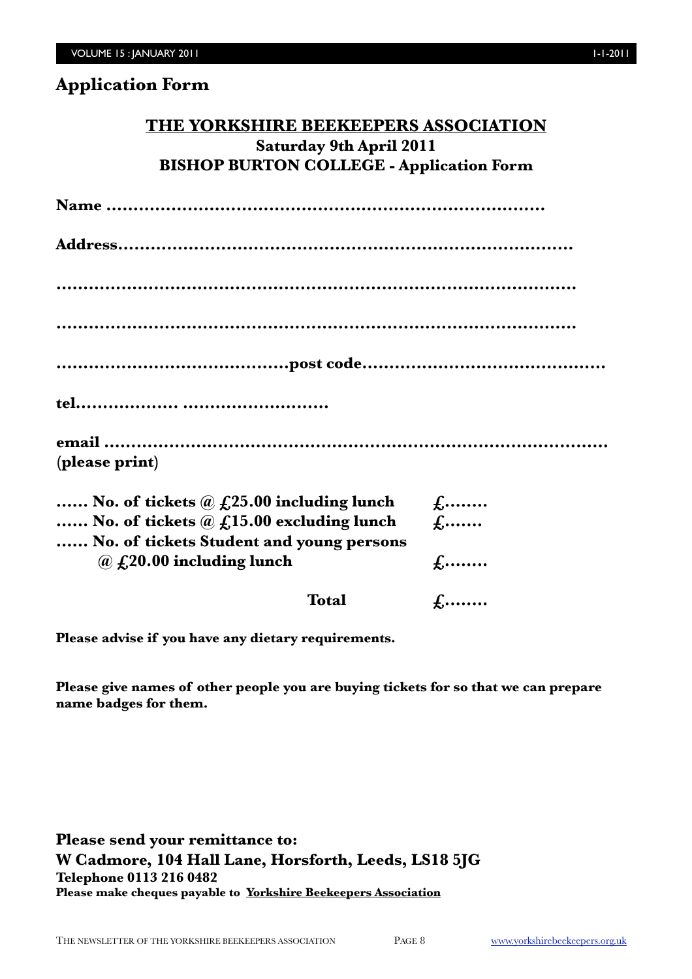### **Application Form**

| <b>THE YORKSHIRE BEEKEEPERS ASSOCIATION</b>                                  |                    |
|------------------------------------------------------------------------------|--------------------|
| <b>Saturday 9th April 2011</b>                                               |                    |
| <b>BISHOP BURTON COLLEGE - Application Form</b>                              |                    |
|                                                                              |                    |
|                                                                              |                    |
|                                                                              |                    |
|                                                                              |                    |
|                                                                              |                    |
|                                                                              |                    |
|                                                                              |                    |
|                                                                              |                    |
| (please print)                                                               |                    |
| No. of tickets $\omega$ $f(25.00)$ including lunch                           | $f_1$              |
| No. of tickets $\omega$ £15.00 excluding lunch                               | $f_1$              |
| No. of tickets Student and young persons<br>$\omega$ £,20.00 including lunch | $f, \ldots \ldots$ |
| <b>Total</b>                                                                 | $f_1$              |

**Please advise if you have any dietary requirements.**

**Please give names of other people you are buying tickets for so that we can prepare name badges for them.**

**Please send your remittance to: W Cadmore, 104 Hall Lane, Horsforth, Leeds, LS18 5JG Telephone 0113 216 0482 Please make cheques payable to Yorkshire Beekeepers Association**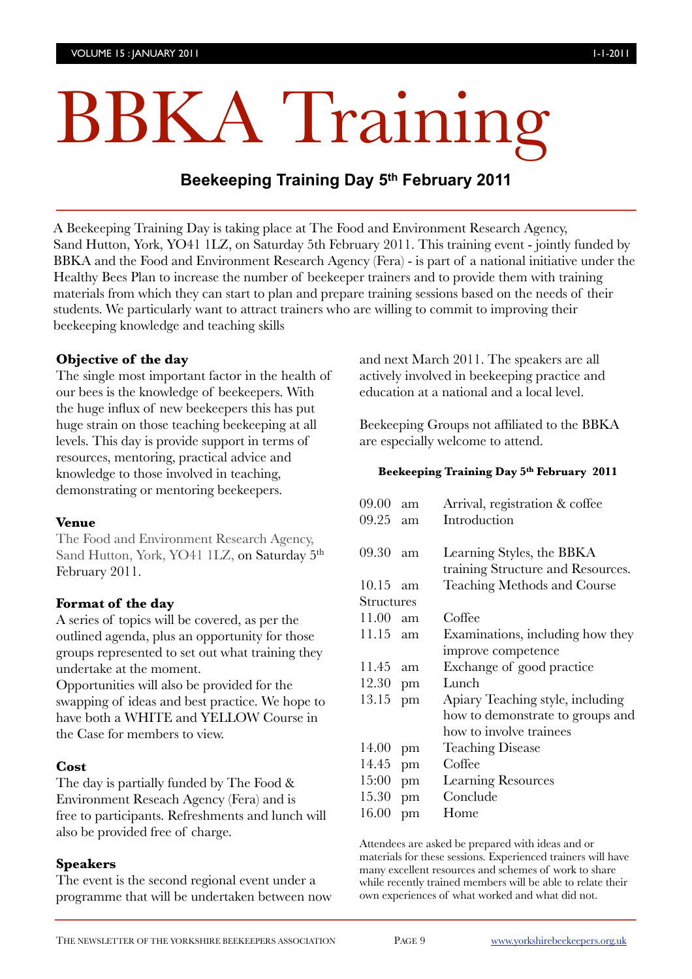# BBKA Training

## **Beekeeping Training Day 5th February 2011**

A Beekeeping Training Day is taking place at The Food and Environment Research Agency, Sand Hutton, York, YO41 1LZ, on Saturday 5th February 2011. This training event - jointly funded by BBKA and the Food and Environment Research Agency (Fera) - is part of a national initiative under the Healthy Bees Plan to increase the number of beekeeper trainers and to provide them with training materials from which they can start to plan and prepare training sessions based on the needs of their students. We particularly want to attract trainers who are willing to commit to improving their beekeeping knowledge and teaching skills

#### **Objective of the day**

The single most important factor in the health of our bees is the knowledge of beekeepers. With the huge influx of new beekeepers this has put huge strain on those teaching beekeeping at all levels. This day is provide support in terms of resources, mentoring, practical advice and knowledge to those involved in teaching, demonstrating or mentoring beekeepers.

#### **Venue**

The Food and Environment Research Agency, Sand Hutton, York, YO41 1LZ, on Saturday 5<sup>th</sup> February 2011.

#### **Format of the day**

A series of topics will be covered, as per the outlined agenda, plus an opportunity for those groups represented to set out what training they undertake at the moment.

Opportunities will also be provided for the swapping of ideas and best practice. We hope to have both a WHITE and YELLOW Course in the Case for members to view.

#### **Cost**

The day is partially funded by The Food & Environment Reseach Agency (Fera) and is free to participants. Refreshments and lunch will also be provided free of charge.

#### **Speakers**

The event is the second regional event under a programme that will be undertaken between now and next March 2011. The speakers are all actively involved in beekeeping practice and education at a national and a local level.

Beekeeping Groups not affiliated to the BBKA are especially welcome to attend.

#### **Beekeeping Training Day 5th February 2011**

| 09.00             | am | Arrival, registration & coffee     |
|-------------------|----|------------------------------------|
| 09.25             | am | Introduction                       |
|                   |    |                                    |
| 09.30             | am | Learning Styles, the BBKA          |
|                   |    | training Structure and Resources.  |
| 10.15             | am | <b>Teaching Methods and Course</b> |
| <b>Structures</b> |    |                                    |
| 11.00             | am | Coffee                             |
| 11.15             | am | Examinations, including how they   |
|                   |    | improve competence                 |
| 11.45             | am | Exchange of good practice          |
| 12.30             | pm | Lunch                              |
| 13.15             | pm | Apiary Teaching style, including   |
|                   |    | how to demonstrate to groups and   |
|                   |    | how to involve trainees            |
| 14.00             | pm | <b>Teaching Disease</b>            |
| 14.45             | pm | Coffee                             |
| 15:00             | pm | <b>Learning Resources</b>          |
| 15.30             | pm | Conclude                           |
| 16.00             | pm | Home                               |

Attendees are asked be prepared with ideas and or materials for these sessions. Experienced trainers will have many excellent resources and schemes of work to share while recently trained members will be able to relate their own experiences of what worked and what did not.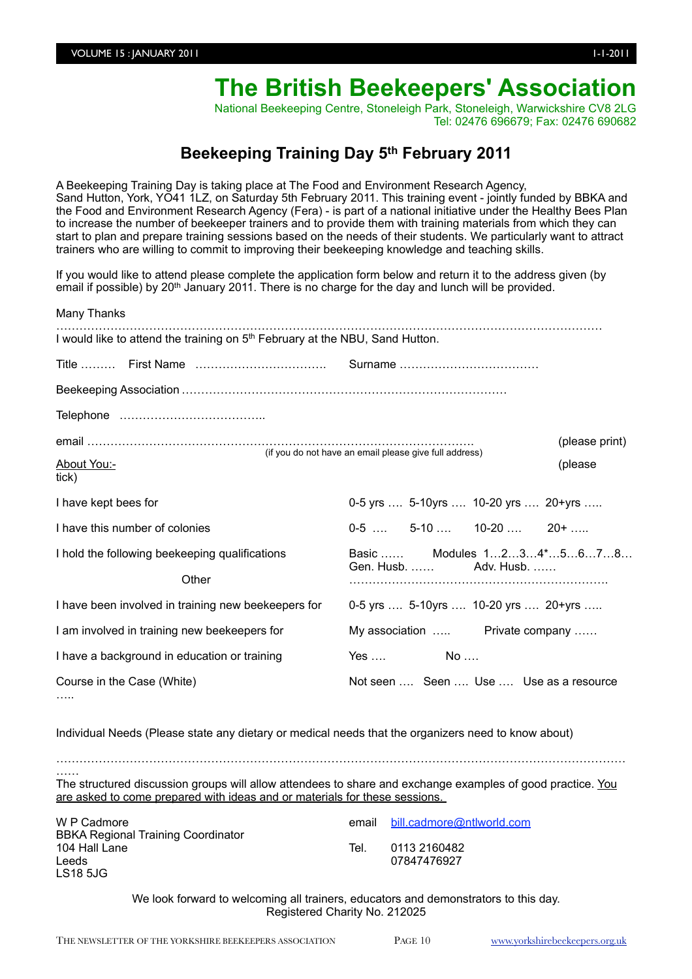# **The British Beekeepers' Association**

National Beekeeping Centre, Stoneleigh Park, Stoneleigh, Warwickshire CV8 2LG Tel: 02476 696679; Fax: 02476 690682

### **Beekeeping Training Day 5th February 2011**

A Beekeeping Training Day is taking place at The Food and Environment Research Agency, Sand Hutton, York, YO41 1LZ, on Saturday 5th February 2011. This training event - jointly funded by BBKA and the Food and Environment Research Agency (Fera) - is part of a national initiative under the Healthy Bees Plan to increase the number of beekeeper trainers and to provide them with training materials from which they can start to plan and prepare training sessions based on the needs of their students. We particularly want to attract trainers who are willing to commit to improving their beekeeping knowledge and teaching skills.

If you would like to attend please complete the application form below and return it to the address given (by email if possible) by 20<sup>th</sup> January 2011. There is no charge for the day and lunch will be provided.

| Many Thanks                                                                              |                                                                          |  |  |
|------------------------------------------------------------------------------------------|--------------------------------------------------------------------------|--|--|
| I would like to attend the training on 5 <sup>th</sup> February at the NBU, Sand Hutton. |                                                                          |  |  |
|                                                                                          |                                                                          |  |  |
|                                                                                          |                                                                          |  |  |
|                                                                                          |                                                                          |  |  |
|                                                                                          | (please print)<br>(if you do not have an email please give full address) |  |  |
| About You:-<br>tick)                                                                     | (please)                                                                 |  |  |
| I have kept bees for                                                                     | 0-5 yrs  5-10yrs  10-20 yrs  20+yrs                                      |  |  |
| I have this number of colonies                                                           | $0-5$ $5-10$ $10-20$ $20+$                                               |  |  |
| I hold the following beekeeping qualifications                                           | Basic  Modules 1234*5678<br>Gen. Husb.  Adv. Husb.                       |  |  |
| Other                                                                                    |                                                                          |  |  |
| I have been involved in training new beekeepers for                                      | 0-5 yrs  5-10yrs  10-20 yrs  20+yrs                                      |  |  |
| I am involved in training new beekeepers for                                             | My association  Private company                                          |  |  |
| I have a background in education or training                                             | Yes ….<br>No                                                             |  |  |
| Course in the Case (White)                                                               | Not seen  Seen  Use  Use as a resource                                   |  |  |

Individual Needs (Please state any dietary or medical needs that the organizers need to know about)

…………………………………………………………………………………………………………………………………

The structured discussion groups will allow attendees to share and exchange examples of good practice. You are asked to come prepared with ideas and or materials for these sessions.

| W P Cadmore                               |      | email bill.cadmore@ntlworld.com |
|-------------------------------------------|------|---------------------------------|
| <b>BBKA Regional Training Coordinator</b> |      |                                 |
| 104 Hall Lane                             | Tel. | 0113 2160482                    |
| Leeds                                     |      | 07847476927                     |
| LS18 5JG                                  |      |                                 |

We look forward to welcoming all trainers, educators and demonstrators to this day. Registered Charity No. 212025

……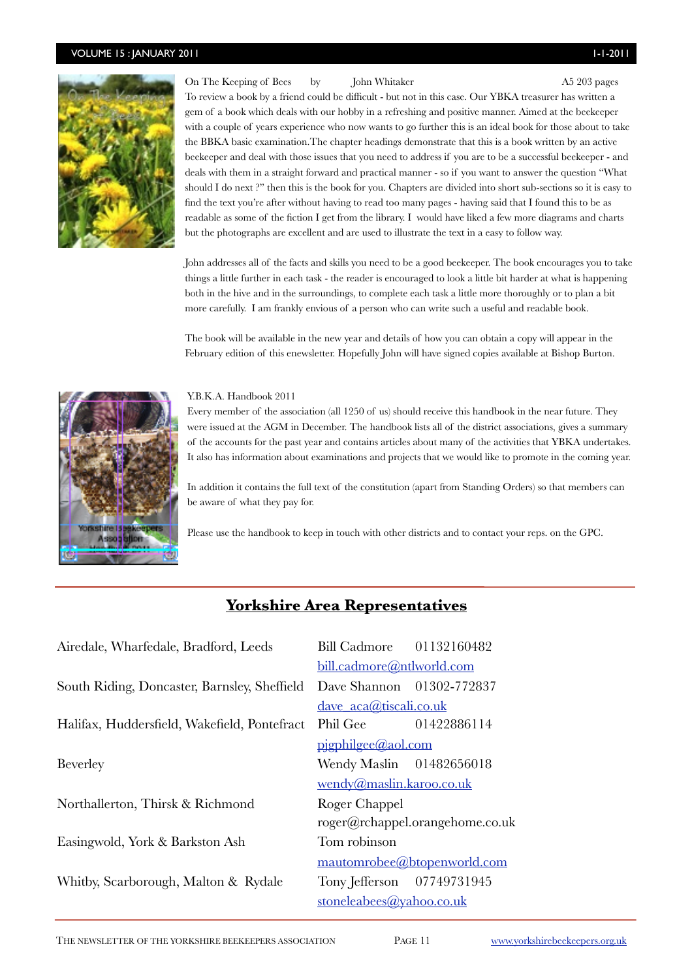#### VOLUME 15 : JANUARY 2011 1-1-2011



On The Keeping of Bees by John Whitaker **A5 203 pages** A5 203 pages To review a book by a friend could be difficult - but not in this case. Our YBKA treasurer has written a gem of a book which deals with our hobby in a refreshing and positive manner. Aimed at the beekeeper with a couple of years experience who now wants to go further this is an ideal book for those about to take the BBKA basic examination.The chapter headings demonstrate that this is a book written by an active beekeeper and deal with those issues that you need to address if you are to be a successful beekeeper - and deals with them in a straight forward and practical manner - so if you want to answer the question "What should I do next ?" then this is the book for you. Chapters are divided into short sub-sections so it is easy to find the text you're after without having to read too many pages - having said that I found this to be as readable as some of the fiction I get from the library. I would have liked a few more diagrams and charts but the photographs are excellent and are used to illustrate the text in a easy to follow way.

John addresses all of the facts and skills you need to be a good beekeeper. The book encourages you to take things a little further in each task - the reader is encouraged to look a little bit harder at what is happening both in the hive and in the surroundings, to complete each task a little more thoroughly or to plan a bit more carefully. I am frankly envious of a person who can write such a useful and readable book.

The book will be available in the new year and details of how you can obtain a copy will appear in the February edition of this enewsletter. Hopefully John will have signed copies available at Bishop Burton.



#### Y.B.K.A. Handbook 2011

Every member of the association (all 1250 of us) should receive this handbook in the near future. They were issued at the AGM in December. The handbook lists all of the district associations, gives a summary of the accounts for the past year and contains articles about many of the activities that YBKA undertakes. It also has information about examinations and projects that we would like to promote in the coming year.

In addition it contains the full text of the constitution (apart from Standing Orders) so that members can be aware of what they pay for.

Please use the handbook to keep in touch with other districts and to contact your reps. on the GPC.

#### **Yorkshire Area Representatives**

| Airedale, Wharfedale, Bradford, Leeds        | Bill Cadmore 01132160482        |  |  |
|----------------------------------------------|---------------------------------|--|--|
|                                              | bill.cadmore@ntlworld.com       |  |  |
| South Riding, Doncaster, Barnsley, Sheffield | Dave Shannon 01302-772837       |  |  |
|                                              | dave aca@tiscali.co.uk          |  |  |
| Halifax, Huddersfield, Wakefield, Pontefract | Phil Gee 01422886114            |  |  |
|                                              | pigphilgee@aol.com              |  |  |
| Beverley                                     | Wendy Maslin 01482656018        |  |  |
|                                              | wendy@maslin.karoo.co.uk        |  |  |
| Northallerton, Thirsk & Richmond             | Roger Chappel                   |  |  |
|                                              | roger@rchappel.orangehome.co.uk |  |  |
| Easingwold, York & Barkston Ash              | Tom robinson                    |  |  |
|                                              | mautomrobee@btopenworld.com     |  |  |
| Whitby, Scarborough, Malton & Rydale         | Tony Jefferson 07749731945      |  |  |
|                                              | stoneleabees@yahoo.co.uk        |  |  |